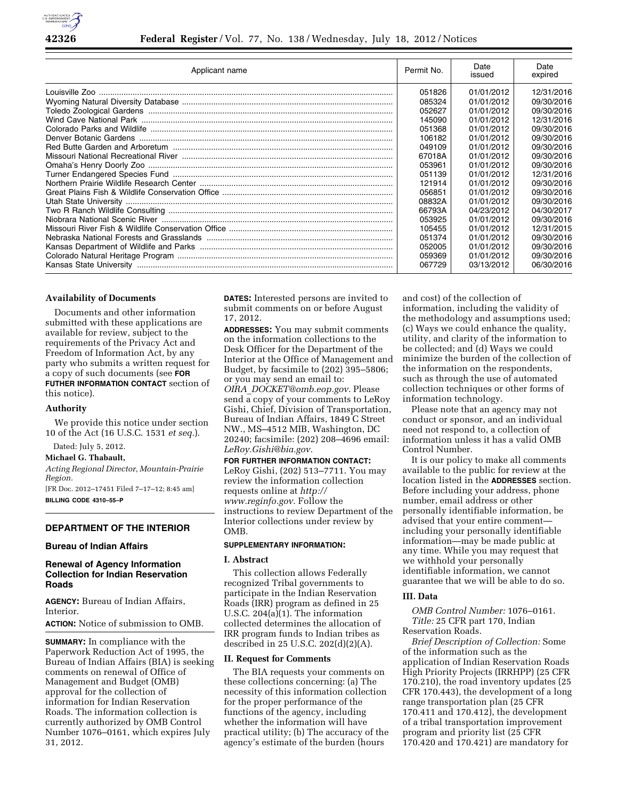

| Applicant name | Permit No. | Date<br>issued | Date<br>expired |
|----------------|------------|----------------|-----------------|
|                | 051826     | 01/01/2012     | 12/31/2016      |
|                | 085324     | 01/01/2012     | 09/30/2016      |
|                | 052627     | 01/01/2012     | 09/30/2016      |
|                | 145090     | 01/01/2012     | 12/31/2016      |
|                | 051368     | 01/01/2012     | 09/30/2016      |
|                | 106182     | 01/01/2012     | 09/30/2016      |
|                | 049109     | 01/01/2012     | 09/30/2016      |
|                | 67018A     | 01/01/2012     | 09/30/2016      |
|                | 053961     | 01/01/2012     | 09/30/2016      |
|                | 051139     | 01/01/2012     | 12/31/2016      |
|                | 121914     | 01/01/2012     | 09/30/2016      |
|                | 056851     | 01/01/2012     | 09/30/2016      |
|                | 08832A     | 01/01/2012     | 09/30/2016      |
|                | 66793A     | 04/23/2012     | 04/30/2017      |
|                | 053925     | 01/01/2012     | 09/30/2016      |
|                | 105455     | 01/01/2012     | 12/31/2015      |
|                | 051374     | 01/01/2012     | 09/30/2016      |
|                | 052005     | 01/01/2012     | 09/30/2016      |
|                | 059369     | 01/01/2012     | 09/30/2016      |
|                | 067729     | 03/13/2012     | 06/30/2016      |

## **Availability of Documents**

Documents and other information submitted with these applications are available for review, subject to the requirements of the Privacy Act and Freedom of Information Act, by any party who submits a written request for a copy of such documents (see **FOR FUTHER INFORMATION CONTACT** section of this notice).

#### **Authority**

We provide this notice under section 10 of the Act (16 U.S.C. 1531 *et seq.*).

Dated: July 5, 2012.

#### **Michael G. Thabault,**

*Acting Regional Director, Mountain-Prairie Region.* 

[FR Doc. 2012–17451 Filed 7–17–12; 8:45 am] **BILLING CODE 4310–55–P** 

### **DEPARTMENT OF THE INTERIOR**

### **Bureau of Indian Affairs**

# **Renewal of Agency Information Collection for Indian Reservation Roads**

**AGENCY:** Bureau of Indian Affairs, Interior.

#### **ACTION:** Notice of submission to OMB.

**SUMMARY:** In compliance with the Paperwork Reduction Act of 1995, the Bureau of Indian Affairs (BIA) is seeking comments on renewal of Office of Management and Budget (OMB) approval for the collection of information for Indian Reservation Roads. The information collection is currently authorized by OMB Control Number 1076–0161, which expires July 31, 2012.

**DATES:** Interested persons are invited to submit comments on or before August 17, 2012.

**ADDRESSES:** You may submit comments on the information collections to the Desk Officer for the Department of the Interior at the Office of Management and Budget, by facsimile to (202) 395–5806; or you may send an email to: *OIRA*\_*[DOCKET@omb.eop.gov.](mailto:OIRA_DOCKET@omb.eop.gov)* Please send a copy of your comments to LeRoy Gishi, Chief, Division of Transportation, Bureau of Indian Affairs, 1849 C Street NW., MS–4512 MIB, Washington, DC 20240; facsimile: (202) 208–4696 email: *[LeRoy.Gishi@bia.gov.](mailto:LeRoy.Gishi@bia.gov)* 

### **FOR FURTHER INFORMATION CONTACT:**

LeRoy Gishi, (202) 513–7711. You may review the information collection requests online at *[http://](http://www.reginfo.gov)  [www.reginfo.gov.](http://www.reginfo.gov)* Follow the instructions to review Department of the Interior collections under review by OMB.

## **SUPPLEMENTARY INFORMATION:**

## **I. Abstract**

This collection allows Federally recognized Tribal governments to participate in the Indian Reservation Roads (IRR) program as defined in 25 U.S.C. 204(a)(1). The information collected determines the allocation of IRR program funds to Indian tribes as described in 25 U.S.C. 202(d)(2)(A).

### **II. Request for Comments**

The BIA requests your comments on these collections concerning: (a) The necessity of this information collection for the proper performance of the functions of the agency, including whether the information will have practical utility; (b) The accuracy of the agency's estimate of the burden (hours

and cost) of the collection of information, including the validity of the methodology and assumptions used; (c) Ways we could enhance the quality, utility, and clarity of the information to be collected; and (d) Ways we could minimize the burden of the collection of the information on the respondents, such as through the use of automated collection techniques or other forms of information technology.

Please note that an agency may not conduct or sponsor, and an individual need not respond to, a collection of information unless it has a valid OMB Control Number.

It is our policy to make all comments available to the public for review at the location listed in the **ADDRESSES** section. Before including your address, phone number, email address or other personally identifiable information, be advised that your entire comment including your personally identifiable information—may be made public at any time. While you may request that we withhold your personally identifiable information, we cannot guarantee that we will be able to do so.

## **III. Data**

*OMB Control Number:* 1076–0161. *Title:* 25 CFR part 170, Indian Reservation Roads.

*Brief Description of Collection:* Some of the information such as the application of Indian Reservation Roads High Priority Projects (IRRHPP) (25 CFR 170.210), the road inventory updates (25 CFR 170.443), the development of a long range transportation plan (25 CFR 170.411 and 170.412), the development of a tribal transportation improvement program and priority list (25 CFR 170.420 and 170.421) are mandatory for